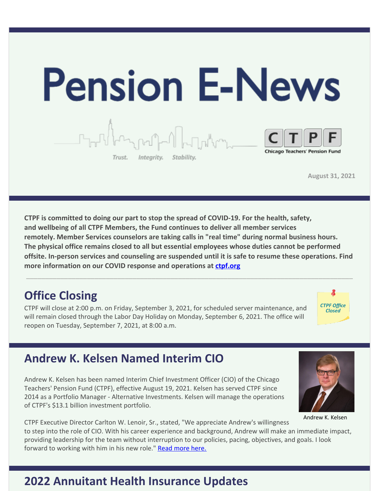

**August 31, 2021**

**CTPF is committed to doing our part to stop the spread of COVID-19. For the health, safety, and wellbeing of all CTPF Members, the Fund continues to deliver all member services remotely. Member Services counselors are taking calls in "real time" during normal business hours. The physical office remains closed to all but essential employees whose duties cannot be performed offsite. In-person services and counseling are suspended until it is safe to resume these operations. Find more information on our COVID response and operations at [ctpf.org](http://www.ctpf.org)**

\_\_\_\_\_\_\_\_\_\_\_\_\_\_\_\_\_\_\_\_\_\_\_\_\_\_\_\_\_\_\_\_\_\_\_\_\_\_\_\_\_\_\_\_\_\_\_\_\_\_\_\_\_\_\_\_\_\_\_\_\_\_\_\_\_\_\_\_\_\_\_\_\_\_\_\_\_\_\_\_\_\_\_\_\_\_

## **Office Closing**

CTPF will close at 2:00 p.m. on Friday, September 3, 2021, for scheduled server maintenance, and will remain closed through the Labor Day Holiday on Monday, September 6, 2021. The office will reopen on Tuesday, September 7, 2021, at 8:00 a.m.



## **Andrew K. Kelsen Named Interim CIO**

Andrew K. Kelsen has been named Interim Chief Investment Officer (CIO) of the Chicago Teachers' Pension Fund (CTPF), effective August 19, 2021. Kelsen has served CTPF since 2014 as a Portfolio Manager - Alternative Investments. Kelsen will manage the operations of CTPF's \$13.1 billion investment portfolio.

CTPF Executive Director Carlton W. Lenoir, Sr., stated, "We appreciate Andrew's willingness to step into the role of CIO. With his career experience and background, Andrew will make an immediate impact, providing leadership for the team without interruption to our policies, pacing, objectives, and goals. I look forward to working with him in his new role." [Read more here.](https://ctpf.org/news/chicago-teachers-pension-fund-names-interim-chief-investment-officer)

## **2022 Annuitant Health Insurance Updates**



Andrew K. Kelsen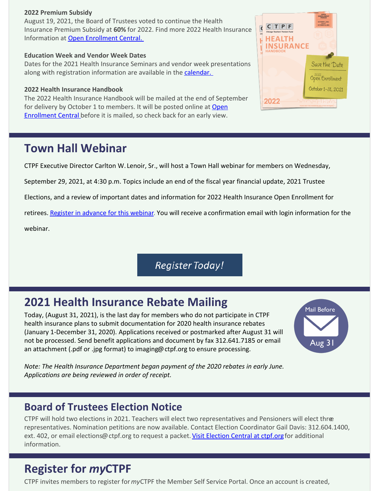#### **2022 Premium Subsidy**

August 19, 2021, the Board of Trustees voted to continue the Health Insurance Premium Subsidy at **60%** for 2022. Find more 2022 Health Insurance Information at [Open Enrollment Central.](https://www.ctpf.org/member-resources/retired-members/open-enrollment-central) 

#### **Education Week and Vendor Week Dates**

Dates for the 2021 Health Insurance Seminars and vendor week presentations along with registration information are available in the calendar.

### **2022 Health Insurance Handbook**

The 2022 Health Insurance Handbook will be mailed at the end of September [for delivery by October 1 to members. It will be posted online at Open](https://www.ctpf.org/member-resources/retired-members/open-enrollment-central) **Enrollment Central** before it is mailed, so check back for an early view.

### **Town Hall Webinar**

CTPF Executive Director Carlton W. Lenoir, Sr., will host a Town Hall webinar for members on Wednesday,

September 29, 2021, at 4:30 p.m. Topics include an end of the fiscal year financial update, 2021 Trustee

Elections, and a review of important dates and information for 2022 Health Insurance Open Enrollment for

retirees. [Register in advance for this webinar](https://ctpf.zoom.us/webinar/register/WN_ZusUkoM5RBij7r2q5ms9SA). You will receive a confirmation email with login information for the webinar.

**Register Today!** 

### **2021 Health Insurance Rebate Mailing**

Today, (August 31, 2021), is the last day for members who do not participate in CTPF health insurance plans to submit documentation for 2020 health insurance rebates (January 1-December 31, 2020). Applications received or postmarked after August 31 will not be processed. Send benefit applications and document by fax 312.641.7185 or email an attachment (.pdf or .jpg format) to imaging@ctpf.org to ensure processing.

**Mail Before** Aug 3

*Note: The Health Insurance Department began payment of the 2020 rebates in early June. Applications are being reviewed in order of receipt.*

### **Board of Trustees Election Notice**

CTPF will hold two elections in 2021. Teachers will elect two representatives and Pensioners will elect three representatives. Nomination petitions are now available. Contact Election Coordinator Gail Davis: 312.604.1400, ext. 402, or email elections@ctpf.org to request a packet. [Visit Election Central at ctpf.org](https://www.ctpf.org/about-ctpf/election-central-2021) for additional information.

### **Register for** *my***CTPF**

CTPF invites members to register for *my*CTPF the Member Self Service Portal. Once an account is created,

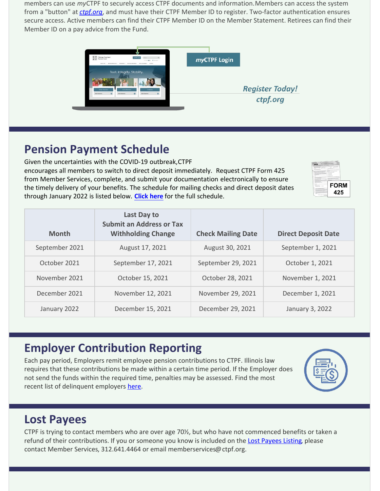members can use *my*CTPF to securely access CTPF documents and information. Members can access the system from a "button" at *[ctpf.org](http://www.ctpf.org)*, and must have their CTPF Member ID to register. Two-factor authentication ensures secure access. Active members can find their CTPF Member ID on the Member Statement. Retirees can find their Member ID on a pay advice from the Fund.



### **Pension Payment Schedule**

Given the uncertainties with the COVID-19 outbreak, CTPF encourages all members to switch to direct deposit immediately. Request CTPF Form 425 from Member Services, complete, and submit your documentation electronically to ensure the timely delivery of your benefits. The schedule for mailing checks and direct deposit dates through January 2022 is listed below. **[Click here](https://www.ctpf.org/pension-payments)** for the full schedule.



| <b>Month</b>   | Last Day to<br><b>Submit an Address or Tax</b><br><b>Withholding Change</b> | <b>Check Mailing Date</b> | <b>Direct Deposit Date</b> |
|----------------|-----------------------------------------------------------------------------|---------------------------|----------------------------|
| September 2021 | August 17, 2021                                                             | August 30, 2021           | September 1, 2021          |
| October 2021   | September 17, 2021                                                          | September 29, 2021        | October 1, 2021            |
| November 2021  | October 15, 2021                                                            | October 28, 2021          | November 1, 2021           |
| December 2021  | November 12, 2021                                                           | November 29, 2021         | December 1, 2021           |
| January 2022   | December 15, 2021                                                           | December 29, 2021         | January 3, 2022            |

## **Employer Contribution Reporting**

Each pay period, Employers remit employee pension contributions to CTPF. Illinois law requires that these contributions be made within a certain time period. If the Employer does not send the funds within the required time, penalties may be assessed. Find the most recent list of delinquent employers [here](http://ctpf.org/employer-contribution-reporting).



## **Lost Payees**

CTPF is trying to contact members who are over age 70½, but who have not commenced benefits or taken a refund of their contributions. If you or someone you know is included on the [Lost Payees Listing](https://www.ctpf.org/sites/files/2020-10/lost_payees_last_school_worked_website_list_2.pdf), please contact Member Services, 312.641.4464 or email memberservices@ctpf.org.